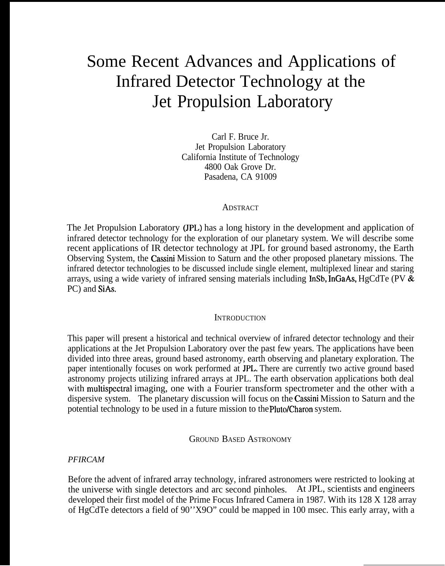# Some Recent Advances and Applications of Infrared Detector Technology at the Jet Propulsion Laboratory

Carl F. Bruce Jr. Jet Propulsion Laboratory California Institute of Technology 4800 Oak Grove Dr. Pasadena, CA 91009

#### ADSTRACT

The Jet Propulsion Laboratory (JPL) has a long history in the development and application of infrared detector technology for the exploration of our planetary system. We will describe some recent applications of IR detector technology at JPL for ground based astronomy, the Earth Observing System, the Cassini Mission to Saturn and the other proposed planetary missions. The infrared detector technologies to be discussed include single element, multiplexed linear and staring arrays, using a wide variety of infrared sensing materials including InSb, InGaAs, HgCdTe (PV & PC) and SiAs.

#### **INTRODUCTION**

This paper will present a historical and technical overview of infrared detector technology and their applications at the Jet Propulsion Laboratory over the past few years. The applications have been divided into three areas, ground based astronomy, earth observing and planetary exploration. The paper intentionally focuses on work performed at JPL. There are currently two active ground based astronomy projects utilizing infrared arrays at JPL. The earth observation applications both deal with multispectral imaging, one with a Fourier transform spectrometer and the other with a dispersive system. The planetary discussion will focus on the Cassini Mission to Saturn and the potential technology to be used in a future mission to the Pluto/Charon system.

GROUND BASED ASTRONOMY

*PFIRCAM*

Before the advent of infrared array technology, infrared astronomers were restricted to looking at the universe with single detectors and arc second pinholes. At JPL, scientists and engineers developed their first model of the Prime Focus Infrared Camera in 1987. With its 128 X 128 array of HgCdTe detectors a field of 90''X9O" could be mapped in 100 msec. This early array, with a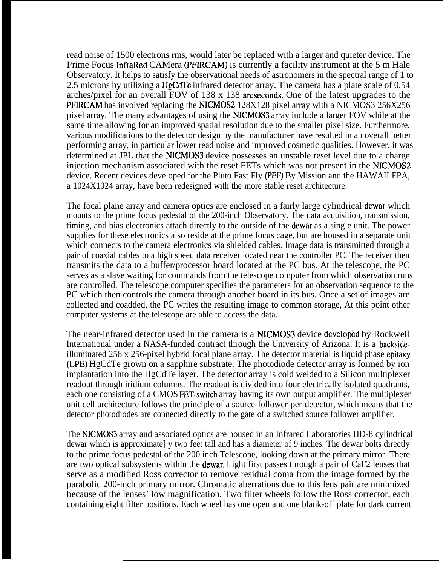read noise of 1500 electrons rms, would later be replaced with a larger and quieter device. The Prime Focus InfraRed CAMera (PFIRCAM) is currently a facility instrument at the 5 m Hale Observatory. It helps to satisfy the observational needs of astronomers in the spectral range of 1 to 2.5 microns by utilizing a HgCdTe infrared detector array. The camera has a plate scale of 0,54 arches/pixel for an overall FOV of 138 x 138 arcseconds. One of the latest upgrades to the PFJRCAM has involved replacing the NICMOS2 128X128 pixel array with a NICMOS3 256X256 pixel array. The many advantages of using the NICMOS3 array include a larger FOV while at the same time allowing for an improved spatial resolution due to the smaller pixel size. Furthermore, various modifications to the detector design by the manufacturer have resulted in an overall better performing array, in particular lower read noise and improved cosmetic qualities. However, it was determined at JPL that the NICMOS3 device possesses an unstable reset level due to a charge injection mechanism associated with the reset FETs which was not present in the NICMOS2 device. Recent devices developed for the Pluto Fast Fly (PFF) By Mission and the HAWAII FPA, a 1024X1024 array, have been redesigned with the more stable reset architecture.

The focal plane array and camera optics are enclosed in a fairly large cylindrical dewar which mounts to the prime focus pedestal of the 200-inch Observatory. The data acquisition, transmission, timing, and bias electronics attach directly to the outside of the dcwar as a single unit. The power supplies for these electronics also reside at the prime focus cage, but are housed in a separate unit which connects to the camera electronics via shielded cables. Image data is transmitted through a pair of coaxial cables to a high speed data receiver located near the controller PC. The receiver then transmits the data to a buffer/processor board located at the PC bus. At the telescope, the PC serves as a slave waiting for commands from the telescope computer from which observation runs are controlled. The telescope computer specifies the parameters for an observation sequence to the PC which then controls the camera through another board in its bus. Once a set of images are collected and coadded, the PC writes the resulting image to common storage, At this point other computer systems at the telescope are able to access the data.

The near-infrared detector used in the camera is a NICMOS3 device developed by Rockwell International under a NASA-funded contract through the University of Arizona. It is a backsideilluminated 256 x 256-pixel hybrid focal plane array. The detector material is liquid phase epitaxy (LPE) HgCdTe grown on a sapphire substrate. The photodiode detector array is formed by ion implantation into the HgCdTe layer. The detector array is cold welded to a Silicon multiplexer readout through iridium columns. The readout is divided into four electrically isolated quadrants, each one consisting of a CMOS FET-switch array having its own output amplifier. The multiplexer unit cell architecture follows the principle of a source-follower-per-detector, which means that the detector photodiodes are connected directly to the gate of a switched source follower amplifier.

The NICMOS3 array and associated optics are housed in an Infrared Laboratories HD-8 cylindrical dewar which is approximate] y two feet tall and has a diameter of 9 inches. The dewar bolts directly to the prime focus pedestal of the 200 inch Telescope, looking down at the primary mirror. There are two optical subsystems within the dewar. Light first passes through a pair of CaF2 lenses that serve as a modified Ross corrector to remove residual coma from the image formed by the parabolic 200-inch primary mirror. Chromatic aberrations due to this lens pair are minimized because of the lenses' low magnification, Two filter wheels follow the Ross corrector, each containing eight filter positions. Each wheel has one open and one blank-off plate for dark current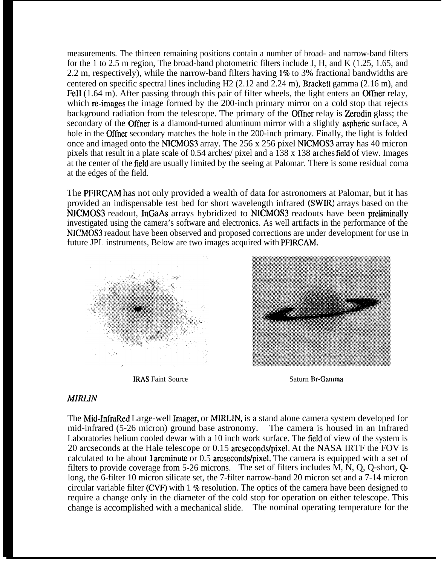measurements. The thirteen remaining positions contain a number of broad- and narrow-band filters for the 1 to 2.5 m region, The broad-band photometric filters include J, H, and K (1.25, 1.65, and 2.2 m, respectively), while the narrow-band filters having  $1\%$  to 3% fractional bandwidths are centered on specific spectral lines including H2 (2.12 and 2.24 m), Brackett gamma (2.16 m), and FeII (1.64 m). After passing through this pair of filter wheels, the light enters an Offner relay, which re-images the image formed by the 200-inch primary mirror on a cold stop that rejects background radiation from the telescope. The primary of the Offner relay is Zerodin glass; the secondary of the Offner is a diamond-turned aluminum mirror with a slightly aspheric surface, A hole in the Offner secondary matches the hole in the 200-inch primary. Finally, the light is folded once and imaged onto the NICMOS3 array. The 256 x 256 pixel NICMOS3 array has 40 micron pixels that result in a plate scale of 0.54 arches/ pixel and a 138 x 138 arches field of view. Images at the center of the field are usually limited by the seeing at Palomar. There is some residual coma at the edges of the field.

The PFIRCAM has not only provided a wealth of data for astronomers at Palomar, but it has provided an indispensable test bed for short wavelength infrared (SWIR) arrays based on the NICMOS3 readout, InGaAs arrays hybridized to NICMOS3 readouts have been preliminally investigated using the camera's software and electronics. As well artifacts in the performance of the NICMOS3 readout have been observed and proposed corrections are under development for use in future JPL instruments, Below are two images acquired with PFIRCAM.



**IRAS** Faint Source Saturn Br-Gamma



# *MIRLIN*

The Mid-InfraRed Large-well Imager, or MIRLIN, is a stand alone camera system developed for mid-infrared (5-26 micron) ground base astronomy. The camera is housed in an Infrared Laboratories helium cooled dewar with a 10 inch work surface. The field of view of the system is 20 arcseconds at the Hale telescope or 0.15 arcseconds/pixel, At the NASA IRTF the FOV is calculated to be about 1 arcminute or 0.5 arcseconds/pixel. The camera is equipped with a set of filters to provide coverage from 5-26 microns. The set of filters includes  $\hat{M}$ ,  $\hat{N}$ , Q, Q-short, Qlong, the 6-filter 10 micron silicate set, the 7-filter narrow-band 20 micron set and a 7-14 micron circular variable filter (CVF) with  $1\%$  resolution. The optics of the camera have been designed to require a change only in the diameter of the cold stop for operation on either telescope. This change is accomplished with a mechanical slide. The nominal operating temperature for the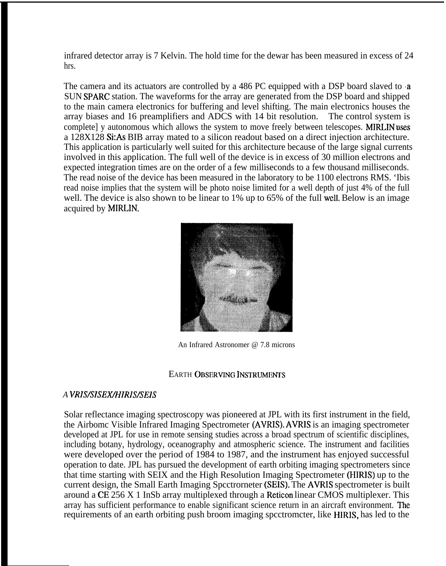infrared detector array is 7 Kelvin. The hold time for the dewar has been measured in excess of 24 hrs.

The camera and its actuators are controlled by a 486 PC equipped with a DSP board slaved to a SUN SPARC station. The waveforms for the array are generated from the DSP board and shipped to the main camera electronics for buffering and level shifting. The main electronics houses the array biases and 16 preamplifiers and ADCS with 14 bit resolution. The control system is complete] y autonomous which allows the system to move freely between telescopes. MIRLIN uses a 128X128 Si:As BIB array mated to a silicon readout based on a direct injection architecture. This application is particularly well suited for this architecture because of the large signal currents involved in this application. The full well of the device is in excess of 30 million electrons and expected integration times are on the order of a few milliseconds to a few thousand milliseconds. The read noise of the device has been measured in the laboratory to be 1100 electrons RMS. 'Ibis read noise implies that the system will be photo noise limited for a well depth of just 4% of the full well. The device is also shown to be linear to 1% up to 65% of the full well. Below is an image acquired by MIRLIN,



An Infrared Astronomer @ 7.8 microns

## EARTH OBSERVING INSTRUMENTS

## *A VRIS/SISEX,411RIS/SEIS*

Solar reflectance imaging spectroscopy was pioneered at JPL with its first instrument in the field, the Airbomc Visible Infrared Imaging Spectrometer (AVRIS). AVRIS is an imaging spectrometer developed at JPL for use in remote sensing studies across a broad spectrum of scientific disciplines, including botany, hydrology, oceanography and atmospheric science. The instrument and facilities were developed over the period of 1984 to 1987, and the instrument has enjoyed successful operation to date. JPL has pursued the development of earth orbiting imaging spectrometers since that time starting with SEIX and the High Resolution Imaging Spectrometer (HIRIS) up to the current design, the Small Earth Imaging Spcctrorneter (SEIS). The AVRIS spectrometer is built around a CE 256 X 1 InSb array multiplexed through a Reticon linear CMOS multiplexer. This array has sufficient performance to enable significant science return in an aircraft environment. The requirements of an earth orbiting push broom imaging spcctromcter, like HIRIS, has led to the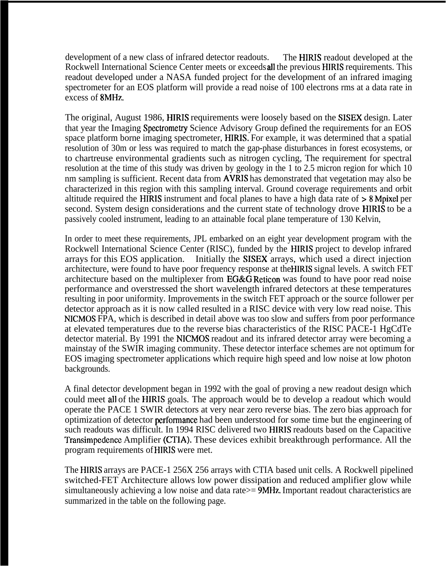development of a new class of infrared detector readouts. The HIRIS readout developed at the Rockwell International Science Center meets or exceeds all the previous HIRIS requirements. This readout developed under a NASA funded project for the development of an infrared imaging spectrometer for an EOS platform will provide a read noise of 100 electrons rms at a data rate in excess of 8MHz.

The original, August 1986, HIRIS requirements were loosely based on the SISEX design. Later that year the Imaging Spectrometry Science Advisory Group defined the requirements for an EOS space platform borne imaging spectrometer, HIRIS. For example, it was determined that a spatial resolution of 30m or less was required to match the gap-phase disturbances in forest ecosystems, or to chartreuse environmental gradients such as nitrogen cycling, The requirement for spectral resolution at the time of this study was driven by geology in the 1 to 2.5 micron region for which 10 nm sampling is sufficient. Recent data from AVRIS has demonstrated that vegetation may also be characterized in this region with this sampling interval. Ground coverage requirements and orbit altitude required the HIRIS instrument and focal planes to have a high data rate of >8 Mpixel per second. System design considerations and the current state of technology drove HIRIS to be a passively cooled instrument, leading to an attainable focal plane temperature of 130 Kelvin,

In order to meet these requirements, JPL embarked on an eight year development program with the Rockwell International Science Center (RISC), funded by the HIRIS project to develop infrared arrays for this EOS application. Initially the SISEX arrays, which used a direct injection architecture, were found to have poor frequency response at the HIRIS signal levels. A switch FET architecture based on the multiplexer from EG&G Reticon was found to have poor read noise performance and overstressed the short wavelength infrared detectors at these temperatures resulting in poor uniformity. Improvements in the switch FET approach or the source follower per detector approach as it is now called resulted in a RISC device with very low read noise. This NICMOS FPA, which is described in detail above was too slow and suffers from poor performance at elevated temperatures due to the reverse bias characteristics of the RISC PACE-1 HgCdTe detector material. By 1991 the NICMOS readout and its infrared detector array were becoming a mainstay of the SWIR imaging community. These detector interface schemes are not optimum for EOS imaging spectrometer applications which require high speed and low noise at low photon backgrounds.

A final detector development began in 1992 with the goal of proving a new readout design which could meet all of the HIRIS goals. The approach would be to develop a readout which would operate the PACE 1 SWIR detectors at very near zero reverse bias. The zero bias approach for optimization of detector performance had been understood for some time but the engineering of such readouts was difficult. In 1994 RISC delivered two HIRIS readouts based on the Capacitive Transimpedcncc Amplifier (CTIA). These devices exhibit breakthrough performance. All the program requirements of HIRIS were met.

The HIRIS arrays are PACE-1 256X 256 arrays with CTIA based unit cells. A Rockwell pipelined switched-FET Architecture allows low power dissipation and reduced amplifier glow while simultaneously achieving a low noise and data rate > 9MHz. Important readout characteristics are summarized in the table on the following page.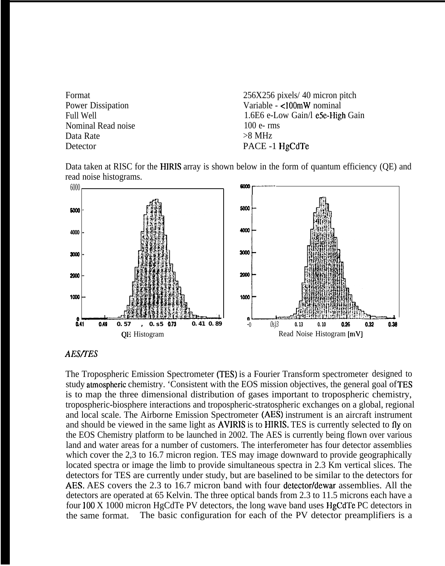Format 256X256 pixels/ 40 micron pitch Power Dissipation Variable - <100mW nominal Full Well **1.6E6** e-Low Gain/l e5e-High Gain Nominal Read noise 100 e- rms Data Rate  $>8 \text{ MHz}$ Detector PACE -1 HgCdTe





# *AES/7ES*

The Tropospheric Emission Spectrometer (TES) is a Fourier Transform spectrometer designed to study atmospheric chemistry. 'Consistent with the EOS mission objectives, the general goal of TES is to map the three dimensional distribution of gases important to tropospheric chemistry, tropospheric-biosphere interactions and tropospheric-stratospheric exchanges on a global, regional and local scale. The Airborne Emission Spectrometer (AES) instrument is an aircraft instrument and should be viewed in the same light as AVIRIS is to HIRIS. TES is currently selected to fly on the EOS Chemistry platform to be launched in 2002. The AES is currently being flown over various land and water areas for a number of customers. The interferometer has four detector assemblies which cover the 2,3 to 16.7 micron region. TES may image downward to provide geographically located spectra or image the limb to provide simultaneous spectra in 2.3 Km vertical slices. The detectors for TES are currently under study, but are baselined to be similar to the detectors for AES, AES covers the 2.3 to 16.7 micron band with four detector/dewar assemblies. All the detectors are operated at 65 Kelvin. The three optical bands from 2.3 to 11.5 microns each have a four  $100 \text{ X } 1000$  micron HgCdTe PV detectors, the long wave band uses HgCdTe PC detectors in the same format. The basic configuration for each of the PV detector preamplifiers is a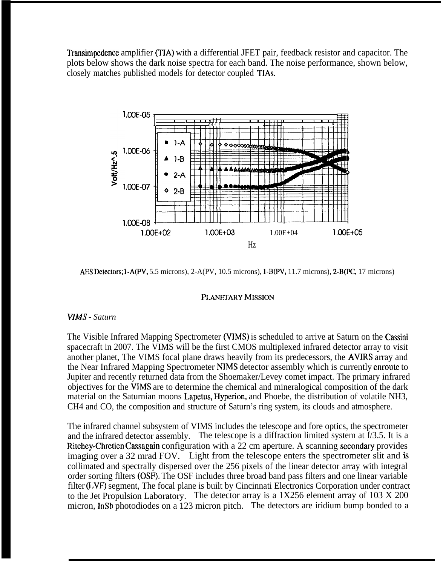Transimpedence amplifier (TIA) with a differential JFET pair, feedback resistor and capacitor. The plots below shows the dark noise spectra for each band. The noise performance, shown below, closely matches published models for detector coupled TIAs.



AES Detectors;  $1 - A(PV, 5.5 \text{ microns})$ ,  $2 - A(PV, 10.5 \text{ microns})$ ,  $1 - B(PV, 11.7 \text{ microns})$ ,  $2 - B(PC, 17 \text{ microns})$ 

# PLANETARY MISSION

# *WMS - Saturn*

The Visible Infrared Mapping Spectrometer (VIMS) is scheduled to arrive at Saturn on the Cassini spacecraft in 2007. The VIMS will be the first CMOS multiplexed infrared detector array to visit another planet, The VIMS focal plane draws heavily from its predecessors, the AVIRS array and the Near Infrared Mapping Spectrometer NJMS detector assembly which is currently enroute to Jupiter and recently returned data from the Shoemaker/Levey comet impact. The primary infrared objectives for the VJMS are to determine the chemical and mineralogical composition of the dark material on the Saturnian moons Lapetus, Hyperion, and Phoebe, the distribution of volatile NH3, CH4 and CO, the composition and structure of Saturn's ring system, its clouds and atmosphere.

The infrared channel subsystem of VIMS includes the telescope and fore optics, the spectrometer and the infrared detector assembly. The telescope is a diffraction limited system at f/3.5. It is a Ritchey-Chretien Cassagain configuration with a 22 cm aperture. A scanning secondary provides imaging over a 32 mrad FOV. Light from the telescope enters the spectrometer slit and is collimated and spectrally dispersed over the 256 pixels of the linear detector array with integral order sorting filters (OSF). The OSF includes three broad band pass filters and one linear variable filter (LVF) segment, The focal plane is built by Cincinnati Electronics Corporation under contract to the Jet Propulsion Laboratory. The detector array is a 1X256 element array of 103 X 200 micron, InSb photodiodes on a 123 micron pitch. The detectors are iridium bump bonded to a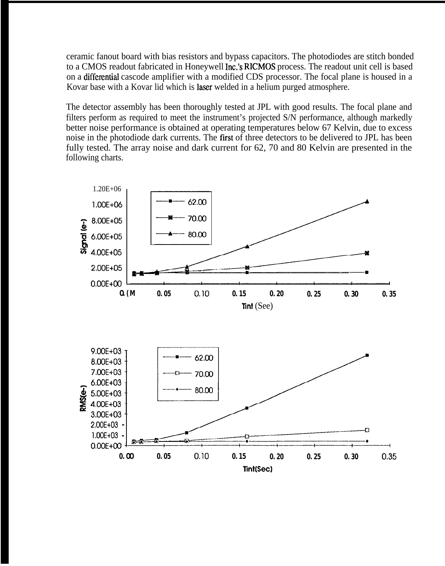ceramic fanout board with bias resistors and bypass capacitors. The photodiodes are stitch bonded to a CMOS readout fabricated in Honeywell Inc.'s RICMOS process. The readout unit cell is based on a differential cascode amplifier with a modified CDS processor. The focal plane is housed in a Kovar base with a Kovar lid which is laser welded in a helium purged atmosphere.

The detector assembly has been thoroughly tested at JPL with good results. The focal plane and filters perform as required to meet the instrument's projected S/N performance, although markedly better noise performance is obtained at operating temperatures below 67 Kelvin, due to excess noise in the photodiode dark currents. The first of three detectors to be delivered to JPL has been fully tested. The array noise and dark current for 62, 70 and 80 Kelvin are presented in the following charts.

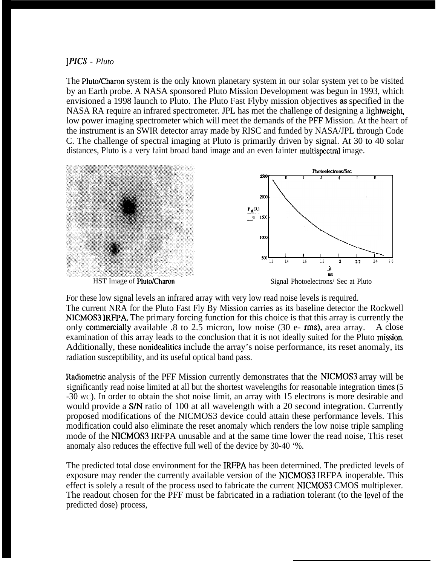*]PICS - Pluto*

The Pluto/Charon system is the only known planetary system in our solar system yet to be visited by an Earth probe. A NASA sponsored Pluto Mission Development was begun in 1993, which envisioned a 1998 launch to Pluto. The Pluto Fast Flyby mission objectives as specified in the NASA RA require an infrared spectrometer. JPL has met the challenge of designing a light weight, low power imaging spectrometer which will meet the demands of the PFF Mission. At the heart of the instrument is an SWIR detector array made by RISC and funded by NASA/JPL through Code C. The challenge of spectral imaging at Pluto is primarily driven by signal. At 30 to 40 solar distances, Pluto is a very faint broad band image and an even fainter multispectral image.



For these low signal levels an infrared array with very low read noise levels is required. The current NRA for the Pluto Fast Fly By Mission carries as its baseline detector the Rockwell NICMOS3 IRFPA. The primary forcing function for this choice is that this array is currently the only commercially available  $.8$  to  $2.5$  micron, low noise (30 e- rms), area array. A close examination of this array leads to the conclusion that it is not ideally suited for the Pluto mission. Additionally, these nonidealities include the array's noise performance, its reset anomaly, its radiation susceptibility, and its useful optical band pass.

Radiometric analysis of the PFF Mission currently demonstrates that the NICMOS3 array will be significantly read noise limited at all but the shortest wavelengths for reasonable integration times (5 -30 WC). In order to obtain the shot noise limit, an array with 15 electrons is more desirable and would provide a S/N ratio of 100 at all wavelength with a 20 second integration. Currently proposed modifications of the NICMOS3 device could attain these performance levels. This modification could also eliminate the reset anomaly which renders the low noise triple sampling mode of the NICMOS3 IRFPA unusable and at the same time lower the read noise, This reset anomaly also reduces the effective full well of the device by 30-40 '%.

The predicted total dose environment for the IRFPA has been determined. The predicted levels of exposure may render the currently available version of the NICMOS3 IRFPA inoperable. This effect is solely a result of the process used to fabricate the current NICMOS3 CMOS multiplexer. The readout chosen for the PFF must be fabricated in a radiation tolerant (to the level of the predicted dose) process,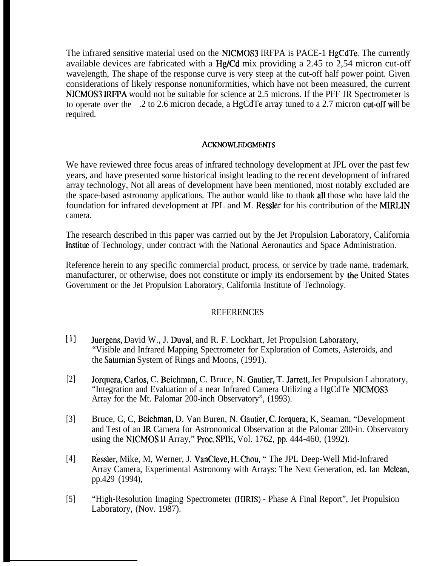The infrared sensitive material used on the NICMOS3 IRFPA is PACE-1 HgCdTe, The currently available devices are fabricated with a Hg/Cd mix providing a 2.45 to 2,54 micron cut-off wavelength, The shape of the response curve is very steep at the cut-off half power point. Given considerations of likely response nonuniformities, which have not been measured, the current NICMOS3 IRFPA would not be suitable for science at 2.5 microns. If the PFF JR Spectrometer is to operate over the .2 to 2.6 micron decade, a HgCdTe array tuned to a 2.7 micron cut-off will be required.

### ACKNOWLEDGMENTS

We have reviewed three focus areas of infrared technology development at JPL over the past few years, and have presented some historical insight leading to the recent development of infrared array technology, Not all areas of development have been mentioned, most notably excluded are the space-based astronomy applications. The author would like to thank all those who have laid the foundation for infrared development at JPL and M. Ressler for his contribution of the MIRLIN camera.

The research described in this paper was carried out by the Jet Propulsion Laboratory, California Institue of Technology, under contract with the National Aeronautics and Space Administration.

Reference herein to any specific commercial product, process, or service by trade name, trademark, manufacturer, or otherwise, does not constitute or imply its endorsement by the United States Government or the Jet Propulsion Laboratory, California Institute of Technology.

# **REFERENCES**

- $[1]$ Juergens, David W., J. Duval, and R. F. Lockhart, Jet Propulsion Laboratory, "Visible and Infrared Mapping Spectrometer for Exploration of Comets, Asteroids, and the Saturnian System of Rings and Moons, (1991).
- [2] Jorquera, Carlos, C. Beichman, C. Bruce, N. Gautier, T. Jarrett, Jet Propulsion Laboratory, "Integration and Evaluation of a near Infrared Camera Utilizing a HgCdTe NICMOS3 Array for the Mt. Palomar 200-inch Observatory", (1993).
- [3] Bruce, C, C, Beichman, D. Van Buren, N. Gautier, C. Jorquera, K, Seaman, "Development and Test of an IR Camera for Astronomical Observation at the Palomar 200-in. Observatory using the NICMOS II Array," Proc. SPIE, Vol. 1762, pp. 444-460, (1992).
- [4] Ressler, Mike, M, Werner, J. VanCleve, H, Chou, " The JPL Deep-Well Mid-Infrared Array Camera, Experimental Astronomy with Arrays: The Next Generation, ed. Ian Mclean, pp.429 (1994),
- [5] "High-Resolution Imaging Spectrometer (HIRIS) - Phase A Final Report", Jet Propulsion Laboratory, (Nov. 1987).